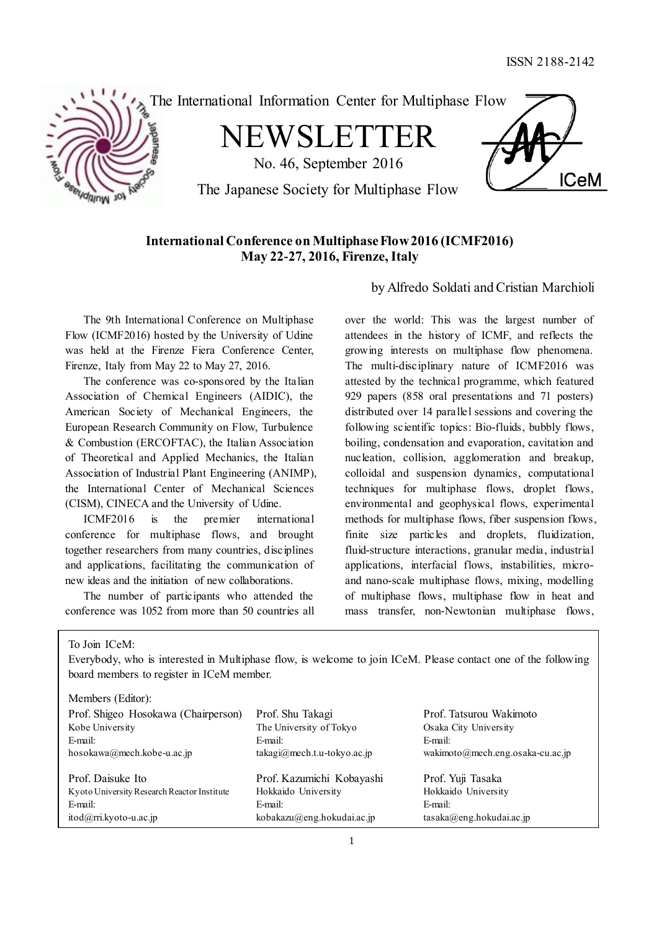

The International Information Center for Multiphase Flow

NEWSLETTER

No. 46, September 2016



The Japanese Society for Multiphase Flow

# **International Conference on Multiphase Flow 2016 (ICMF2016) May 22-27, 2016, Firenze, Italy**

by Alfredo Soldati and Cristian Marchioli

The 9th International Conference on Multiphase Flow (ICMF2016) hosted by the University of Udine was held at the Firenze Fiera Conference Center, Firenze, Italy from May 22 to May 27, 2016.

The conference was co-sponsored by the Italian Association of Chemical Engineers (AIDIC), the American Society of Mechanical Engineers, the European Research Community on Flow, Turbulence & Combustion (ERCOFTAC), the Italian Association of Theoretical and Applied Mechanics, the Italian Association of Industrial Plant Engineering (ANIMP), the International Center of Mechanical Sciences (CISM), CINECA and the University of Udine.

ICMF2016 is the premier international conference for multiphase flows, and brought together researchers from many countries, disciplines and applications, facilitating the communication of new ideas and the initiation of new collaborations.

The number of participants who attended the conference was 1052 from more than 50 countries all over the world: This was the largest number of attendees in the history of ICMF, and reflects the growing interests on multiphase flow phenomena. The multi-disciplinary nature of ICMF2016 was attested by the technical programme, which featured 929 papers (858 oral presentations and 71 posters) distributed over 14 parallel sessions and covering the following scientific topics: Bio-fluids, bubbly flows, boiling, condensation and evaporation, cavitation and nucleation, collision, agglomeration and breakup, colloidal and suspension dynamics, computational techniques for multiphase flows, droplet flows, environmental and geophysical flows, experimental methods for multiphase flows, fiber suspension flows, finite size particles and droplets, fluidization, fluid-structure interactions, granular media, industrial applications, interfacial flows, instabilities, microand nano-scale multiphase flows, mixing, modelling of multiphase flows, multiphase flow in heat and mass transfer, non-Newtonian multiphase flows,

To Join ICeM:

Everybody, who is interested in Multiphase flow, is welcome to join ICeM. Please contact one of the following board members to register in ICeM member.

| Members (Editor):                           |                               |                                  |
|---------------------------------------------|-------------------------------|----------------------------------|
| Prof. Shigeo Hosokawa (Chairperson)         | Prof. Shu Takagi              | Prof. Tatsurou Wakimoto          |
| Kobe University                             | The University of Tokyo       | Osaka City University            |
| E-mail:                                     | E-mail:                       | E-mail:                          |
| hosokawa@mech.kobe-u.ac.jp                  | $takagi@mech.t.u-tokyo.ac.jp$ | wakimoto@mech.eng.osaka-cu.ac.jp |
| Prof. Daisuke Ito                           | Prof. Kazumichi Kobayashi     | Prof. Yuji Tasaka                |
|                                             |                               |                                  |
| Kyoto University Research Reactor Institute | Hokkaido University           | Hokkaido University              |
| E-mail:                                     | E-mail:                       | E-mail:                          |
| $itod(\partial rri.kyoto-u.ac.jp)$          | kobakazu@eng.hokudai.ac.jp    | $t$ asaka@eng.hokudai.ac.jp      |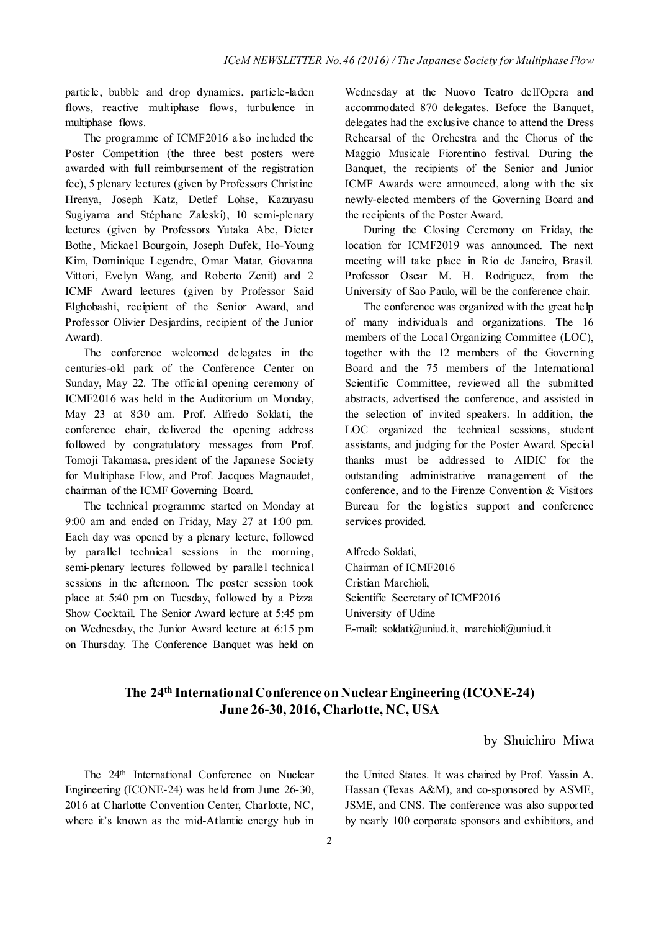particle, bubble and drop dynamics, particle-laden flows, reactive multiphase flows, turbulence in multiphase flows.

The programme of ICMF2016 also included the Poster Competition (the three best posters were awarded with full reimbursement of the registration fee), 5 plenary lectures (given by Professors Christine Hrenya, Joseph Katz, Detlef Lohse, Kazuyasu Sugiyama and Stéphane Zaleski), 10 semi-plenary lectures (given by Professors Yutaka Abe, Dieter Bothe, Mickael Bourgoin, Joseph Dufek, Ho-Young Kim, Dominique Legendre, Omar Matar, Giovanna Vittori, Evelyn Wang, and Roberto Zenit) and 2 ICMF Award lectures (given by Professor Said Elghobashi, recipient of the Senior Award, and Professor Olivier Desjardins, recipient of the Junior Award).

The conference welcomed delegates in the centuries-old park of the Conference Center on Sunday, May 22. The official opening ceremony of ICMF2016 was held in the Auditorium on Monday, May 23 at 8:30 am. Prof. Alfredo Soldati, the conference chair, delivered the opening address followed by congratulatory messages from Prof. Tomoji Takamasa, president of the Japanese Society for Multiphase Flow, and Prof. Jacques Magnaudet, chairman of the ICMF Governing Board.

The technical programme started on Monday at 9:00 am and ended on Friday, May 27 at 1:00 pm. Each day was opened by a plenary lecture, followed by parallel technical sessions in the morning, semi-plenary lectures followed by parallel technical sessions in the afternoon. The poster session took place at 5:40 pm on Tuesday, followed by a Pizza Show Cocktail. The Senior Award lecture at 5:45 pm on Wednesday, the Junior Award lecture at 6:15 pm on Thursday. The Conference Banquet was held on

Wednesday at the Nuovo Teatro dell'Opera and accommodated 870 delegates. Before the Banquet, delegates had the exclusive chance to attend the Dress Rehearsal of the Orchestra and the Chorus of the Maggio Musicale Fiorentino festival. During the Banquet, the recipients of the Senior and Junior ICMF Awards were announced, along with the six newly-elected members of the Governing Board and the recipients of the Poster Award.

During the Closing Ceremony on Friday, the location for ICMF2019 was announced. The next meeting will take place in Rio de Janeiro, Brasil. Professor Oscar M. H. Rodriguez, from the University of Sao Paulo, will be the conference chair.

The conference was organized with the great help of many individuals and organizations. The 16 members of the Local Organizing Committee (LOC), together with the 12 members of the Governing Board and the 75 members of the International Scientific Committee, reviewed all the submitted abstracts, advertised the conference, and assisted in the selection of invited speakers. In addition, the LOC organized the technical sessions, student assistants, and judging for the Poster Award. Special thanks must be addressed to AIDIC for the outstanding administrative management of the conference, and to the Firenze Convention & Visitors Bureau for the logistics support and conference services provided.

Alfredo Soldati, Chairman of ICMF2016 Cristian Marchioli, Scientific Secretary of ICMF2016 University of Udine E-mail: soldati@uniud.it, marchioli@uniud.it

# **The 24th International Conference on Nuclear Engineering (ICONE-24) June 26-30, 2016, Charlotte, NC, USA**

## by Shuichiro Miwa

The 24th International Conference on Nuclear Engineering (ICONE-24) was held from June 26-30, 2016 at Charlotte Convention Center, Charlotte, NC, where it's known as the mid-Atlantic energy hub in

the United States. It was chaired by Prof. Yassin A. Hassan (Texas A&M), and co-sponsored by ASME, JSME, and CNS. The conference was also supported by nearly 100 corporate sponsors and exhibitors, and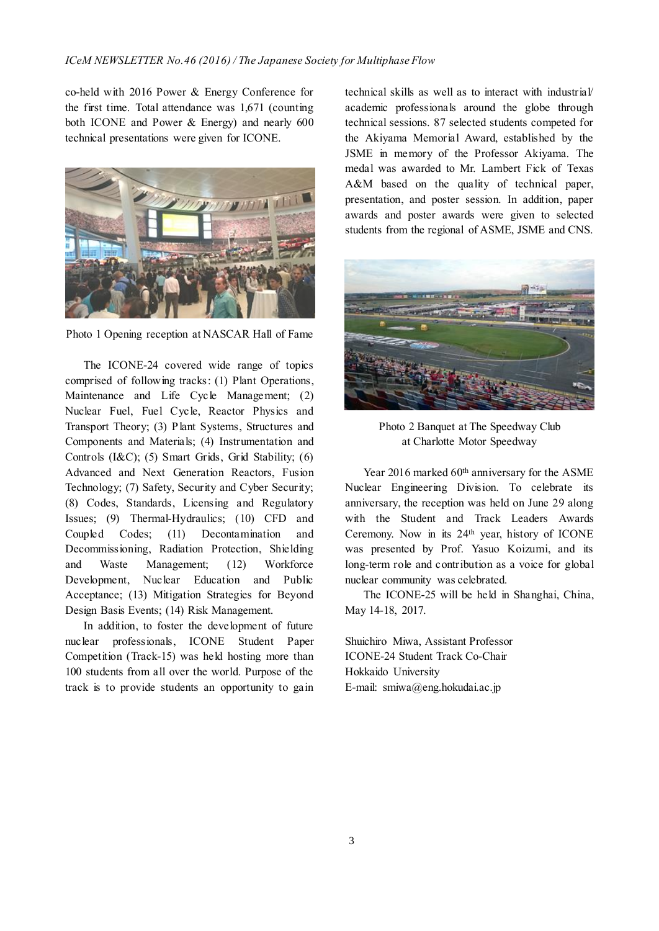co-held with 2016 Power & Energy Conference for the first time. Total attendance was 1,671 (counting both ICONE and Power & Energy) and nearly 600 technical presentations were given for ICONE.



Photo 1 Opening reception at NASCAR Hall of Fame

The ICONE-24 covered wide range of topics comprised of following tracks: (1) Plant Operations, Maintenance and Life Cycle Management; (2) Nuclear Fuel, Fuel Cycle, Reactor Physics and Transport Theory; (3) Plant Systems, Structures and Components and Materials; (4) Instrumentation and Controls (I&C); (5) Smart Grids, Grid Stability; (6) Advanced and Next Generation Reactors, Fusion Technology; (7) Safety, Security and Cyber Security; (8) Codes, Standards, Licensing and Regulatory Issues; (9) Thermal-Hydraulics; (10) CFD and Coupled Codes; (11) Decontamination and Decommissioning, Radiation Protection, Shielding and Waste Management; (12) Workforce Development, Nuclear Education and Public Acceptance; (13) Mitigation Strategies for Beyond Design Basis Events; (14) Risk Management.

In addition, to foster the development of future nuclear professionals, ICONE Student Paper Competition (Track-15) was held hosting more than 100 students from all over the world. Purpose of the track is to provide students an opportunity to gain technical skills as well as to interact with industrial/ academic professionals around the globe through technical sessions. 87 selected students competed for the Akiyama Memorial Award, established by the JSME in memory of the Professor Akiyama. The medal was awarded to Mr. Lambert Fick of Texas A&M based on the quality of technical paper, presentation, and poster session. In addition, paper awards and poster awards were given to selected students from the regional of ASME, JSME and CNS.



Photo 2 Banquet at The Speedway Club at Charlotte Motor Speedway

Year 2016 marked 60<sup>th</sup> anniversary for the ASME Nuclear Engineering Division. To celebrate its anniversary, the reception was held on June 29 along with the Student and Track Leaders Awards Ceremony. Now in its 24th year, history of ICONE was presented by Prof. Yasuo Koizumi, and its long-term role and contribution as a voice for global nuclear community was celebrated.

The ICONE-25 will be held in Shanghai, China, May 14-18, 2017.

Shuichiro Miwa, Assistant Professor ICONE-24 Student Track Co-Chair Hokkaido University E-mail: smiwa@eng.hokudai.ac.jp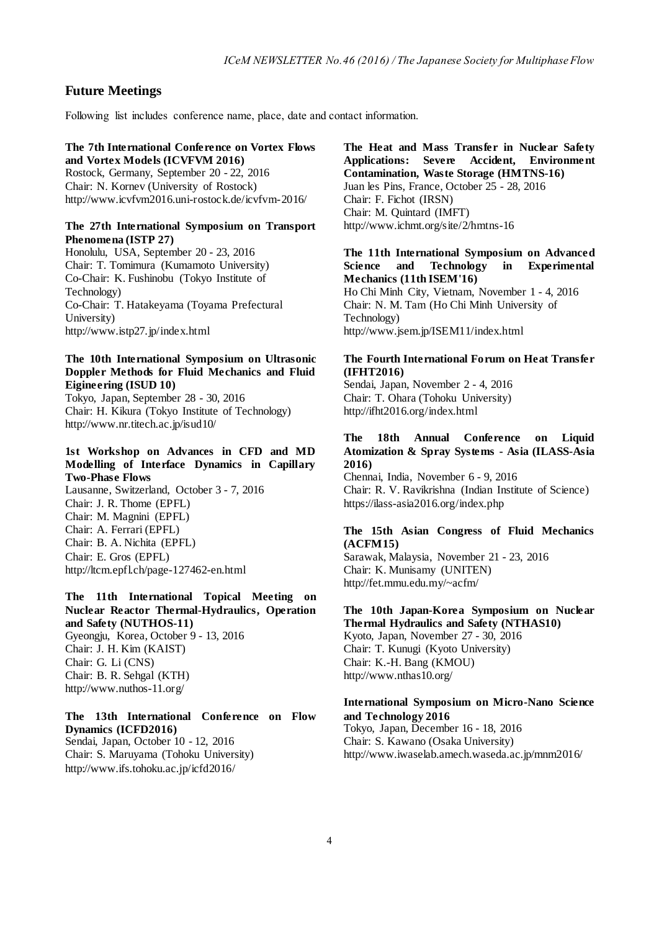## **Future Meetings**

Following list includes conference name, place, date and contact information.

#### **The 7th International Conference on Vortex Flows and Vortex Models (ICVFVM 2016)**

Rostock, Germany, September 20 - 22, 2016 Chair: N. Kornev (University of Rostock) http://www.icvfvm2016.uni-rostock.de/icvfvm-2016/

#### **The 27th International Symposium on Transport Phenomena (ISTP 27)**

Honolulu, USA, September 20 - 23, 2016 Chair: T. Tomimura (Kumamoto University) Co-Chair: K. Fushinobu (Tokyo Institute of Technology) Co-Chair: T. Hatakeyama (Toyama Prefectural University) http://www.istp27.jp/index.html

## **The 10th International Symposium on Ultrasonic Doppler Methods for Fluid Mechanics and Fluid Eigineering (ISUD 10)**

Tokyo, Japan, September 28 - 30, 2016 Chair: H. Kikura (Tokyo Institute of Technology) http://www.nr.titech.ac.jp/isud10/

## **1st Workshop on Advances in CFD and MD Modelling of Interface Dynamics in Capillary Two-Phase Flows**

Lausanne, Switzerland, October 3 - 7, 2016 Chair: J. R. Thome (EPFL) Chair: M. Magnini (EPFL) Chair: A. Ferrari (EPFL) Chair: B. A. Nichita (EPFL) Chair: E. Gros (EPFL) http://ltcm.epfl.ch/page-127462-en.html

## **The 11th International Topical Meeting on Nuclear Reactor Thermal-Hydraulics, Operation and Safety (NUTHOS-11)** Gyeongju, Korea, October 9 - 13, 2016 Chair: J. H. Kim (KAIST) Chair: G. Li (CNS)

Chair: B. R. Sehgal (KTH) http://www.nuthos-11.org/

## **The 13th International Conference on Flow Dynamics (ICFD2016)** Sendai, Japan, October 10 - 12, 2016 Chair: S. Maruyama (Tohoku University) http://www.ifs.tohoku.ac.jp/icfd2016/

**The Heat and Mass Transfer in Nuclear Safety Applications: Severe Accident, Environment Contamination, Waste Storage (HMTNS-16)** Juan les Pins, France, October 25 - 28, 2016 Chair: F. Fichot (IRSN) Chair: M. Quintard (IMFT) http://www.ichmt.org/site/2/hmtns-16

### **The 11th International Symposium on Advanced Science and Technology in Experimental Mechanics (11th ISEM'16)**

Ho Chi Minh City, Vietnam, November 1 - 4, 2016 Chair: N. M. Tam (Ho Chi Minh University of Technology) http://www.jsem.jp/ISEM11/index.html

## **The Fourth International Forum on Heat Transfer (IFHT2016)**

Sendai, Japan, November 2 - 4, 2016 Chair: T. Ohara (Tohoku University) http://ifht2016.org/index.html

## **The 18th Annual Conference on Liquid Atomization & Spray Systems - Asia (ILASS-Asia 2016)**

Chennai, India, November 6 - 9, 2016 Chair: R. V. Ravikrishna (Indian Institute of Science) https://ilass-asia2016.org/index.php

#### **The 15th Asian Congress of Fluid Mechanics (ACFM15)**

Sarawak, Malaysia, November 21 - 23, 2016 Chair: K. Munisamy (UNITEN) http://fet.mmu.edu.my/~acfm/

# **The 10th Japan-Korea Symposium on Nuclear Thermal Hydraulics and Safety (NTHAS10)**

Kyoto, Japan, November 27 - 30, 2016 Chair: T. Kunugi (Kyoto University) Chair: K.-H. Bang (KMOU) http://www.nthas10.org/

## **International Symposium on Micro-Nano Science and Technology 2016**

Tokyo, Japan, December 16 - 18, 2016 Chair: S. Kawano (Osaka University) http://www.iwaselab.amech.waseda.ac.jp/mnm2016/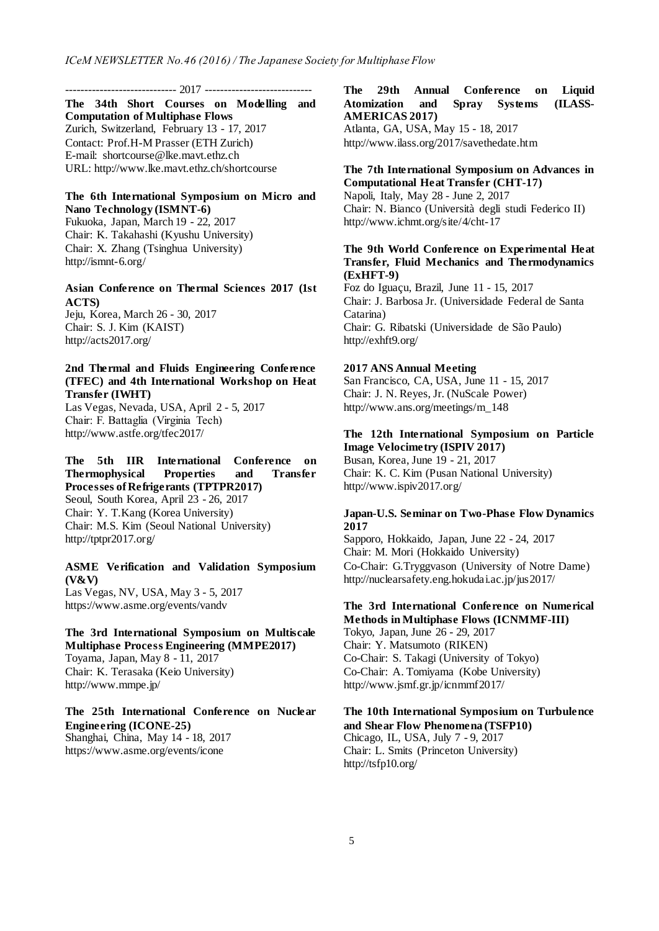----------------------------- 2017 ----------------------------

**The 34th Short Courses on Modelling and Computation of Multiphase Flows** Zurich, Switzerland, February 13 - 17, 2017 Contact: Prof.H-M Prasser (ETH Zurich) E-mail: shortcourse@lke.mavt.ethz.ch URL: http://www.lke.mavt.ethz.ch/shortcourse

## **The 6th International Symposium on Micro and Nano Technology (ISMNT-6)** Fukuoka, Japan, March 19 - 22, 2017

Chair: K. Takahashi (Kyushu University) Chair: X. Zhang (Tsinghua University) http://ismnt-6.org/

**Asian Conference on Thermal Sciences 2017 (1st ACTS)**

Jeju, Korea, March 26 - 30, 2017 Chair: S. J. Kim (KAIST) http://acts2017.org/

## **2nd Thermal and Fluids Engineering Conference (TFEC) and 4th International Workshop on Heat Transfer (IWHT)**

Las Vegas, Nevada, USA, April 2 - 5, 2017 Chair: F. Battaglia (Virginia Tech) http://www.astfe.org/tfec2017/

**The 5th IIR International Conference on Thermophysical Properties and Transfer Processes of Refrigerants (TPTPR2017)** Seoul, South Korea, April 23 - 26, 2017 Chair: Y. T.Kang (Korea University) Chair: M.S. Kim (Seoul National University) http://tptpr2017.org/

**ASME Verification and Validation Symposium (V&V)** Las Vegas, NV, USA, May 3 - 5, 2017 https://www.asme.org/events/vandv

**The 3rd International Symposium on Multiscale Multiphase Process Engineering (MMPE2017)** Toyama, Japan, May 8 - 11, 2017 Chair: K. Terasaka (Keio University) http://www.mmpe.jp/

**The 25th International Conference on Nuclear Engineering (ICONE-25)** Shanghai, China, May 14 - 18, 2017 https://www.asme.org/events/icone

**The 29th Annual Conference on Liquid Atomization and Spray Systems (ILASS-AMERICAS 2017)** Atlanta, GA, USA, May 15 - 18, 2017 http://www.ilass.org/2017/savethedate.htm

### **The 7th International Symposium on Advances in Computational Heat Transfer (CHT-17)**

Napoli, Italy, May 28 - June 2, 2017 Chair: N. Bianco (Università degli studi Federico II) http://www.ichmt.org/site/4/cht-17

## **The 9th World Conference on Experimental Heat Transfer, Fluid Mechanics and Thermodynamics (ExHFT-9)**

Foz do Iguaçu, Brazil, June 11 - 15, 2017 Chair: J. Barbosa Jr. (Universidade Federal de Santa Catarina) Chair: G. Ribatski (Universidade de São Paulo) http://exhft9.org/

#### **2017 ANS Annual Meeting**

San Francisco, CA, USA, June 11 - 15, 2017 Chair: J. N. Reyes, Jr. (NuScale Power) http://www.ans.org/meetings/m\_148

# **The 12th International Symposium on Particle Image Velocimetry (ISPIV 2017)**

Busan, Korea, June 19 - 21, 2017 Chair: K. C. Kim (Pusan National University) http://www.ispiv2017.org/

## **Japan-U.S. Seminar on Two-Phase Flow Dynamics 2017**

Sapporo, Hokkaido, Japan, June 22 - 24, 2017 Chair: M. Mori (Hokkaido University) Co-Chair: G.Tryggvason (University of Notre Dame) http://nuclearsafety.eng.hokudai.ac.jp/jus2017/

## **The 3rd International Conference on Numerical Methods in Multiphase Flows (ICNMMF-III)**

Tokyo, Japan, June 26 - 29, 2017 Chair: Y. Matsumoto (RIKEN) Co-Chair: S. Takagi (University of Tokyo) Co-Chair: A. Tomiyama (Kobe University) http://www.jsmf.gr.jp/icnmmf2017/

## **The 10th International Symposium on Turbulence and Shear Flow Phenomena (TSFP10)**

Chicago, IL, USA, July 7 - 9, 2017 Chair: L. Smits (Princeton University) http://tsfp10.org/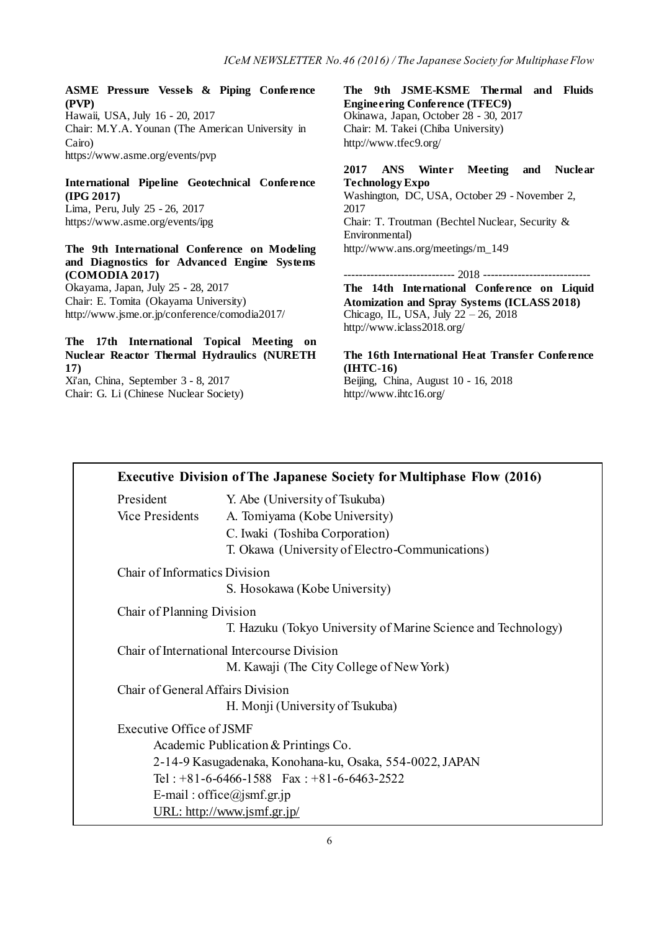**ASME Pressure Vessels & Piping Conference (PVP)** Hawaii, USA, July 16 - 20, 2017 Chair: M.Y.A. Younan (The American University in Cairo)

https://www.asme.org/events/pvp

# **International Pipeline Geotechnical Conference (IPG 2017)**

Lima, Peru, July 25 - 26, 2017 https://www.asme.org/events/ipg

## **The 9th International Conference on Modeling and Diagnostics for Advanced Engine Systems (COMODIA 2017)**

Okayama, Japan, July 25 - 28, 2017 Chair: E. Tomita (Okayama University) http://www.jsme.or.jp/conference/comodia2017/

## **The 17th International Topical Meeting on Nuclear Reactor Thermal Hydraulics (NURETH 17)**

Xi'an, China, September 3 - 8, 2017 Chair: G. Li (Chinese Nuclear Society) **The 9th JSME-KSME Thermal and Fluids Engineering Conference (TFEC9)** Okinawa, Japan, October 28 - 30, 2017 Chair: M. Takei (Chiba University) http://www.tfec9.org/

## **2017 ANS Winter Meeting and Nuclear Technology Expo**

Washington, DC, USA, October 29 - November 2, 2017 Chair: T. Troutman (Bechtel Nuclear, Security & Environmental) http://www.ans.org/meetings/m\_149

----------------------------- 2018 ----------------------------

**The 14th International Conference on Liquid Atomization and Spray Systems (ICLASS 2018)** Chicago, IL, USA, July 22 – 26, 2018 http://www.iclass2018.org/

**The 16th International Heat Transfer Conference (IHTC-16)** Beijing, China, August 10 - 16, 2018 http://www.ihtc16.org/

|                                   | <b>Executive Division of The Japanese Society for Multiphase Flow (2016)</b> |
|-----------------------------------|------------------------------------------------------------------------------|
| President                         | Y. Abe (University of Tsukuba)                                               |
| <b>Vice Presidents</b>            | A. Tomiyama (Kobe University)                                                |
|                                   | C. Iwaki (Toshiba Corporation)                                               |
|                                   | T. Okawa (University of Electro-Communications)                              |
| Chair of Informatics Division     |                                                                              |
|                                   | S. Hosokawa (Kobe University)                                                |
| Chair of Planning Division        |                                                                              |
|                                   | T. Hazuku (Tokyo University of Marine Science and Technology)                |
|                                   | Chair of International Intercourse Division                                  |
|                                   | M. Kawaji (The City College of New York)                                     |
| Chair of General Affairs Division |                                                                              |
|                                   | H. Monji (University of Tsukuba)                                             |
| Executive Office of JSMF          |                                                                              |
|                                   | Academic Publication & Printings Co.                                         |
|                                   | 2-14-9 Kasugadenaka, Konohana-ku, Osaka, 554-0022, JAPAN                     |
|                                   | Tel: $+81-6-6466-1588$ Fax: $+81-6-6463-2522$                                |
|                                   | E-mail: office@jsmf.gr.jp                                                    |
|                                   | URL: http://www.jsmf.gr.jp/                                                  |